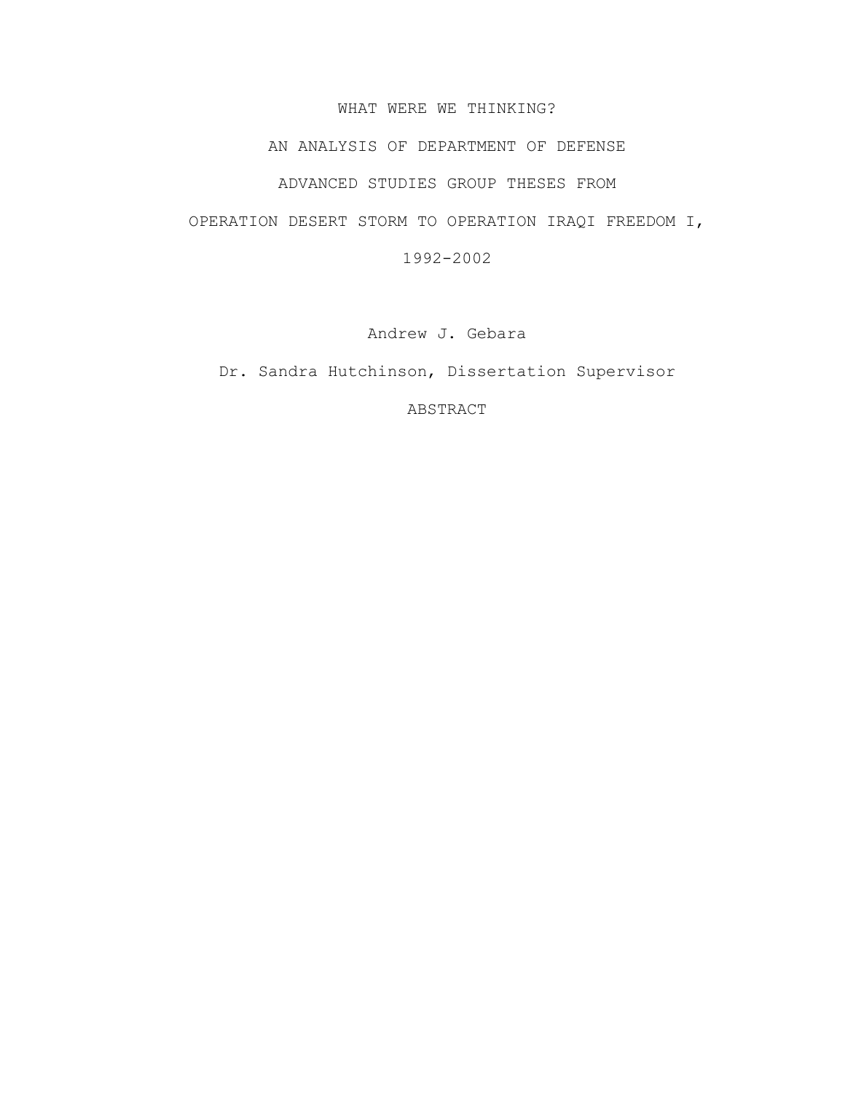## WHAT WERE WE THINKING?

## AN ANALYSIS OF DEPARTMENT OF DEFENSE

## ADVANCED STUDIES GROUP THESES FROM

## OPERATION DESERT STORM TO OPERATION IRAQI FREEDOM I,

1992-2002

Andrew J. Gebara

Dr. Sandra Hutchinson, Dissertation Supervisor

ABSTRACT